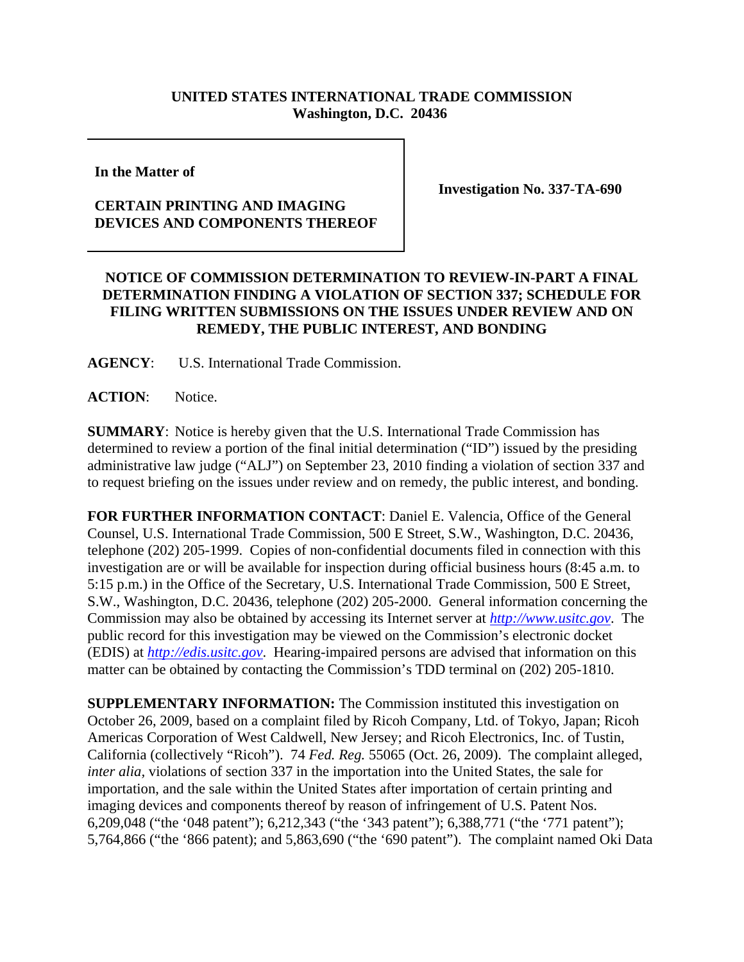# **UNITED STATES INTERNATIONAL TRADE COMMISSION Washington, D.C. 20436**

**In the Matter of** 

## **CERTAIN PRINTING AND IMAGING DEVICES AND COMPONENTS THEREOF**

**Investigation No. 337-TA-690**

# **NOTICE OF COMMISSION DETERMINATION TO REVIEW-IN-PART A FINAL DETERMINATION FINDING A VIOLATION OF SECTION 337; SCHEDULE FOR FILING WRITTEN SUBMISSIONS ON THE ISSUES UNDER REVIEW AND ON REMEDY, THE PUBLIC INTEREST, AND BONDING**

**AGENCY**: U.S. International Trade Commission.

**ACTION**: Notice.

**SUMMARY**: Notice is hereby given that the U.S. International Trade Commission has determined to review a portion of the final initial determination ("ID") issued by the presiding administrative law judge ("ALJ") on September 23, 2010 finding a violation of section 337 and to request briefing on the issues under review and on remedy, the public interest, and bonding.

**FOR FURTHER INFORMATION CONTACT**: Daniel E. Valencia, Office of the General Counsel, U.S. International Trade Commission, 500 E Street, S.W., Washington, D.C. 20436, telephone (202) 205-1999. Copies of non-confidential documents filed in connection with this investigation are or will be available for inspection during official business hours (8:45 a.m. to 5:15 p.m.) in the Office of the Secretary, U.S. International Trade Commission, 500 E Street, S.W., Washington, D.C. 20436, telephone (202) 205-2000. General information concerning the Commission may also be obtained by accessing its Internet server at *http://www.usitc.gov*. The public record for this investigation may be viewed on the Commission's electronic docket (EDIS) at *http://edis.usitc.gov*. Hearing-impaired persons are advised that information on this matter can be obtained by contacting the Commission's TDD terminal on (202) 205-1810.

**SUPPLEMENTARY INFORMATION:** The Commission instituted this investigation on October 26, 2009, based on a complaint filed by Ricoh Company, Ltd. of Tokyo, Japan; Ricoh Americas Corporation of West Caldwell, New Jersey; and Ricoh Electronics, Inc. of Tustin, California (collectively "Ricoh"). 74 *Fed. Reg.* 55065 (Oct. 26, 2009). The complaint alleged, *inter alia,* violations of section 337 in the importation into the United States, the sale for importation, and the sale within the United States after importation of certain printing and imaging devices and components thereof by reason of infringement of U.S. Patent Nos. 6,209,048 ("the '048 patent"); 6,212,343 ("the '343 patent"); 6,388,771 ("the '771 patent"); 5,764,866 ("the '866 patent); and 5,863,690 ("the '690 patent"). The complaint named Oki Data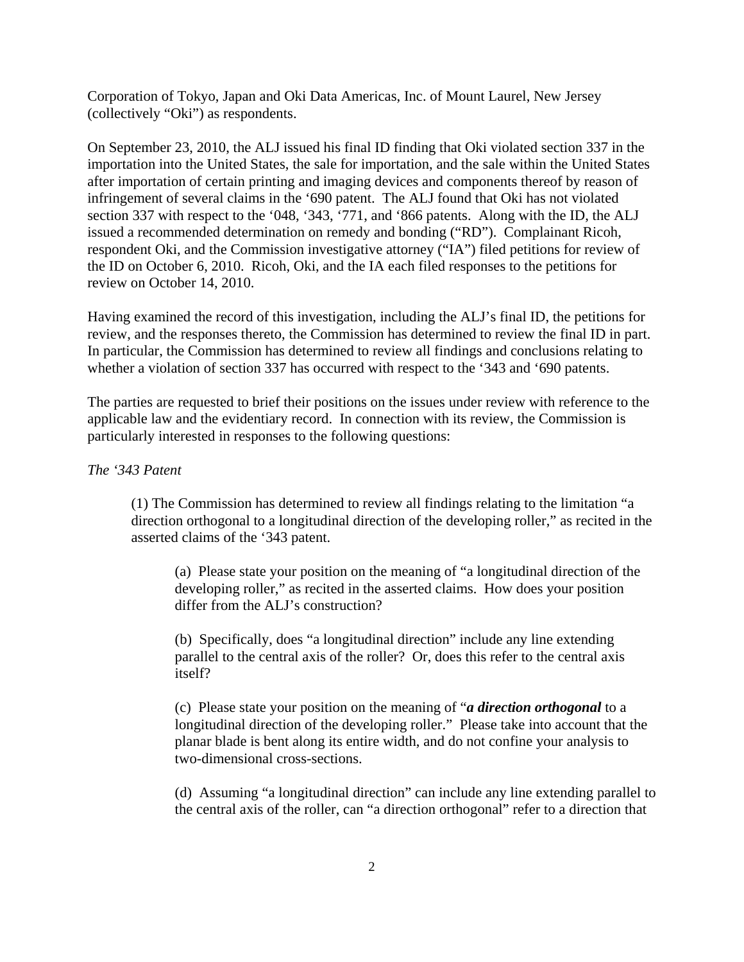Corporation of Tokyo, Japan and Oki Data Americas, Inc. of Mount Laurel, New Jersey (collectively "Oki") as respondents.

On September 23, 2010, the ALJ issued his final ID finding that Oki violated section 337 in the importation into the United States, the sale for importation, and the sale within the United States after importation of certain printing and imaging devices and components thereof by reason of infringement of several claims in the '690 patent. The ALJ found that Oki has not violated section 337 with respect to the '048, '343, '771, and '866 patents. Along with the ID, the ALJ issued a recommended determination on remedy and bonding ("RD"). Complainant Ricoh, respondent Oki, and the Commission investigative attorney ("IA") filed petitions for review of the ID on October 6, 2010. Ricoh, Oki, and the IA each filed responses to the petitions for review on October 14, 2010.

Having examined the record of this investigation, including the ALJ's final ID, the petitions for review, and the responses thereto, the Commission has determined to review the final ID in part. In particular, the Commission has determined to review all findings and conclusions relating to whether a violation of section 337 has occurred with respect to the '343 and '690 patents.

The parties are requested to brief their positions on the issues under review with reference to the applicable law and the evidentiary record. In connection with its review, the Commission is particularly interested in responses to the following questions:

## *The '343 Patent*

(1) The Commission has determined to review all findings relating to the limitation "a direction orthogonal to a longitudinal direction of the developing roller," as recited in the asserted claims of the '343 patent.

(a) Please state your position on the meaning of "a longitudinal direction of the developing roller," as recited in the asserted claims. How does your position differ from the ALJ's construction?

(b) Specifically, does "a longitudinal direction" include any line extending parallel to the central axis of the roller? Or, does this refer to the central axis itself?

(c) Please state your position on the meaning of "*a direction orthogonal* to a longitudinal direction of the developing roller." Please take into account that the planar blade is bent along its entire width, and do not confine your analysis to two-dimensional cross-sections.

(d) Assuming "a longitudinal direction" can include any line extending parallel to the central axis of the roller, can "a direction orthogonal" refer to a direction that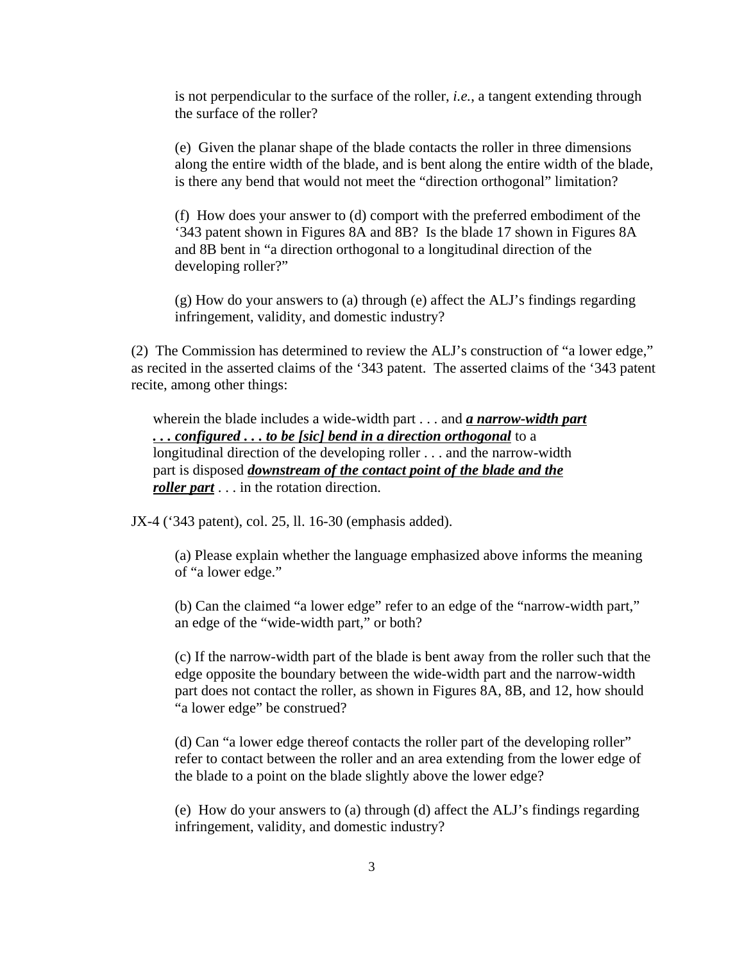is not perpendicular to the surface of the roller, *i.e.*, a tangent extending through the surface of the roller?

(e) Given the planar shape of the blade contacts the roller in three dimensions along the entire width of the blade, and is bent along the entire width of the blade, is there any bend that would not meet the "direction orthogonal" limitation?

(f) How does your answer to (d) comport with the preferred embodiment of the '343 patent shown in Figures 8A and 8B? Is the blade 17 shown in Figures 8A and 8B bent in "a direction orthogonal to a longitudinal direction of the developing roller?"

(g) How do your answers to (a) through (e) affect the ALJ's findings regarding infringement, validity, and domestic industry?

(2) The Commission has determined to review the ALJ's construction of "a lower edge," as recited in the asserted claims of the '343 patent. The asserted claims of the '343 patent recite, among other things:

wherein the blade includes a wide-width part . . . and *a narrow-width part . . . configured . . . to be [sic] bend in a direction orthogonal* to a longitudinal direction of the developing roller . . . and the narrow-width part is disposed *downstream of the contact point of the blade and the roller part* . . . in the rotation direction.

JX-4 ('343 patent), col. 25, ll. 16-30 (emphasis added).

(a) Please explain whether the language emphasized above informs the meaning of "a lower edge."

(b) Can the claimed "a lower edge" refer to an edge of the "narrow-width part," an edge of the "wide-width part," or both?

(c) If the narrow-width part of the blade is bent away from the roller such that the edge opposite the boundary between the wide-width part and the narrow-width part does not contact the roller, as shown in Figures 8A, 8B, and 12, how should "a lower edge" be construed?

(d) Can "a lower edge thereof contacts the roller part of the developing roller" refer to contact between the roller and an area extending from the lower edge of the blade to a point on the blade slightly above the lower edge?

(e) How do your answers to (a) through (d) affect the ALJ's findings regarding infringement, validity, and domestic industry?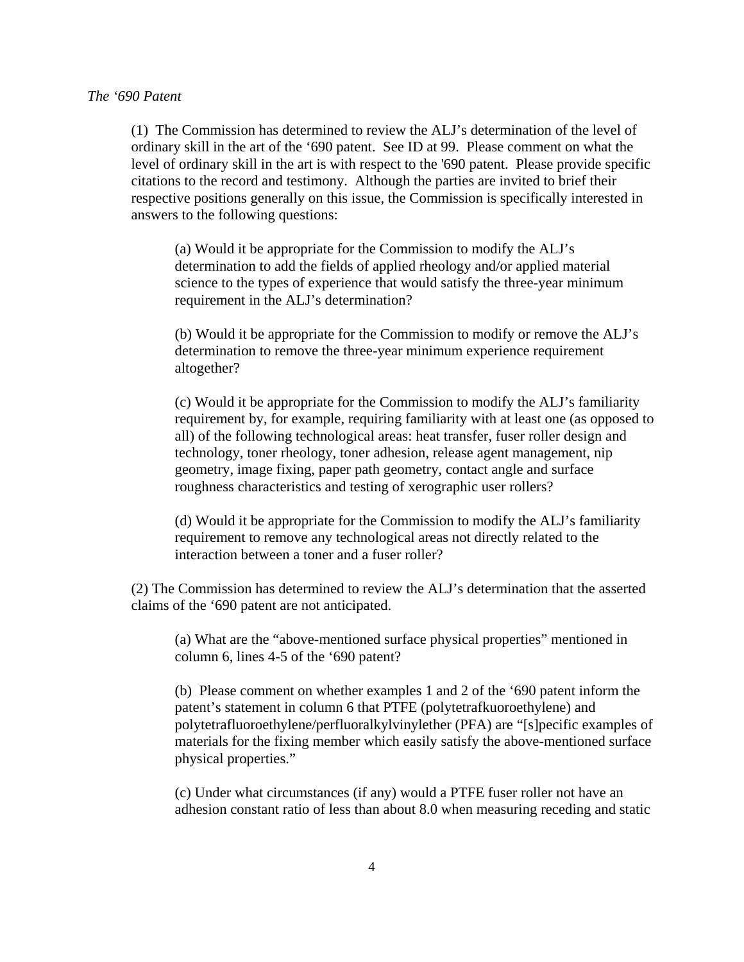#### *The '690 Patent*

(1) The Commission has determined to review the ALJ's determination of the level of ordinary skill in the art of the '690 patent. See ID at 99. Please comment on what the level of ordinary skill in the art is with respect to the '690 patent. Please provide specific citations to the record and testimony. Although the parties are invited to brief their respective positions generally on this issue, the Commission is specifically interested in answers to the following questions:

(a) Would it be appropriate for the Commission to modify the ALJ's determination to add the fields of applied rheology and/or applied material science to the types of experience that would satisfy the three-year minimum requirement in the ALJ's determination?

 (b) Would it be appropriate for the Commission to modify or remove the ALJ's determination to remove the three-year minimum experience requirement altogether?

(c) Would it be appropriate for the Commission to modify the ALJ's familiarity requirement by, for example, requiring familiarity with at least one (as opposed to all) of the following technological areas: heat transfer, fuser roller design and technology, toner rheology, toner adhesion, release agent management, nip geometry, image fixing, paper path geometry, contact angle and surface roughness characteristics and testing of xerographic user rollers?

 (d) Would it be appropriate for the Commission to modify the ALJ's familiarity requirement to remove any technological areas not directly related to the interaction between a toner and a fuser roller?

(2) The Commission has determined to review the ALJ's determination that the asserted claims of the '690 patent are not anticipated.

(a) What are the "above-mentioned surface physical properties" mentioned in column 6, lines 4-5 of the '690 patent?

(b) Please comment on whether examples 1 and 2 of the '690 patent inform the patent's statement in column 6 that PTFE (polytetrafkuoroethylene) and polytetrafluoroethylene/perfluoralkylvinylether (PFA) are "[s]pecific examples of materials for the fixing member which easily satisfy the above-mentioned surface physical properties."

(c) Under what circumstances (if any) would a PTFE fuser roller not have an adhesion constant ratio of less than about 8.0 when measuring receding and static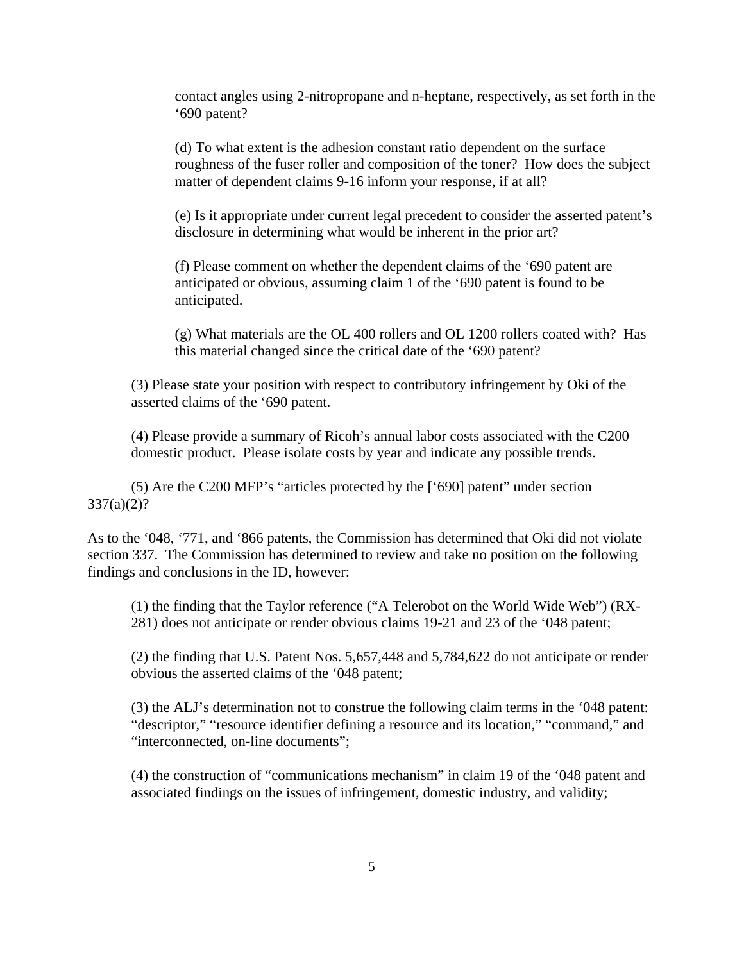contact angles using 2-nitropropane and n-heptane, respectively, as set forth in the '690 patent?

(d) To what extent is the adhesion constant ratio dependent on the surface roughness of the fuser roller and composition of the toner? How does the subject matter of dependent claims 9-16 inform your response, if at all?

(e) Is it appropriate under current legal precedent to consider the asserted patent's disclosure in determining what would be inherent in the prior art?

(f) Please comment on whether the dependent claims of the '690 patent are anticipated or obvious, assuming claim 1 of the '690 patent is found to be anticipated.

(g) What materials are the OL 400 rollers and OL 1200 rollers coated with? Has this material changed since the critical date of the '690 patent?

(3) Please state your position with respect to contributory infringement by Oki of the asserted claims of the '690 patent.

(4) Please provide a summary of Ricoh's annual labor costs associated with the C200 domestic product. Please isolate costs by year and indicate any possible trends.

(5) Are the C200 MFP's "articles protected by the ['690] patent" under section  $337(a)(2)?$ 

As to the '048, '771, and '866 patents, the Commission has determined that Oki did not violate section 337. The Commission has determined to review and take no position on the following findings and conclusions in the ID, however:

(1) the finding that the Taylor reference ("A Telerobot on the World Wide Web") (RX-281) does not anticipate or render obvious claims 19-21 and 23 of the '048 patent;

(2) the finding that U.S. Patent Nos. 5,657,448 and 5,784,622 do not anticipate or render obvious the asserted claims of the '048 patent;

(3) the ALJ's determination not to construe the following claim terms in the '048 patent: "descriptor," "resource identifier defining a resource and its location," "command," and "interconnected, on-line documents";

(4) the construction of "communications mechanism" in claim 19 of the '048 patent and associated findings on the issues of infringement, domestic industry, and validity;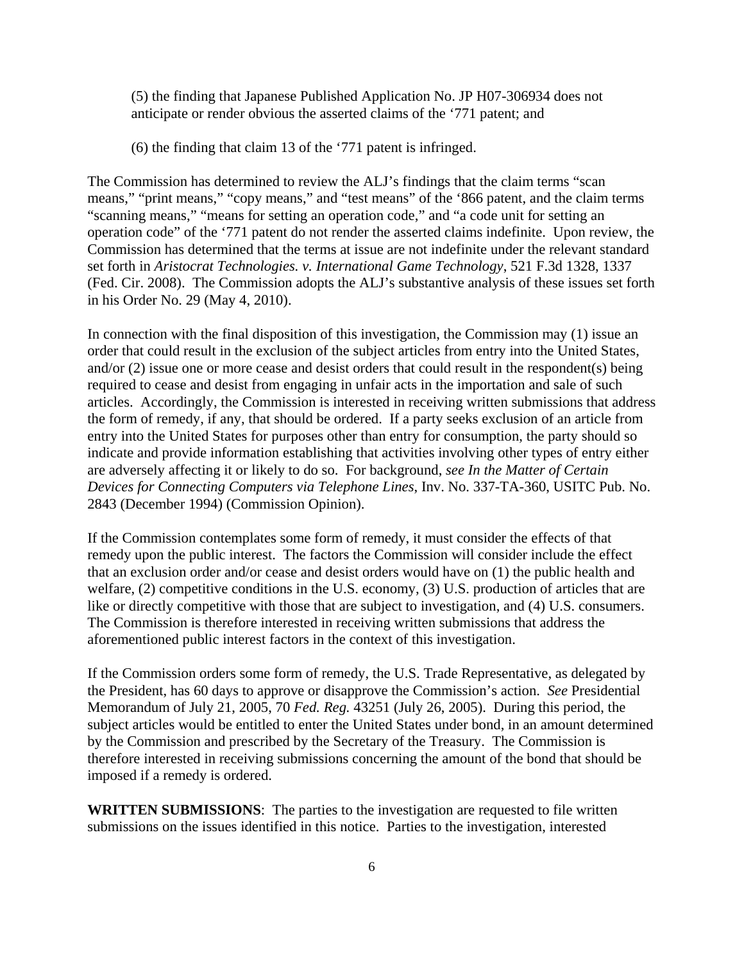(5) the finding that Japanese Published Application No. JP H07-306934 does not anticipate or render obvious the asserted claims of the '771 patent; and

(6) the finding that claim 13 of the '771 patent is infringed.

The Commission has determined to review the ALJ's findings that the claim terms "scan means," "print means," "copy means," and "test means" of the '866 patent, and the claim terms "scanning means," "means for setting an operation code," and "a code unit for setting an operation code" of the '771 patent do not render the asserted claims indefinite. Upon review, the Commission has determined that the terms at issue are not indefinite under the relevant standard set forth in *Aristocrat Technologies. v. International Game Technology*, 521 F.3d 1328, 1337 (Fed. Cir. 2008). The Commission adopts the ALJ's substantive analysis of these issues set forth in his Order No. 29 (May 4, 2010).

In connection with the final disposition of this investigation, the Commission may (1) issue an order that could result in the exclusion of the subject articles from entry into the United States, and/or (2) issue one or more cease and desist orders that could result in the respondent(s) being required to cease and desist from engaging in unfair acts in the importation and sale of such articles. Accordingly, the Commission is interested in receiving written submissions that address the form of remedy, if any, that should be ordered. If a party seeks exclusion of an article from entry into the United States for purposes other than entry for consumption, the party should so indicate and provide information establishing that activities involving other types of entry either are adversely affecting it or likely to do so. For background, *see In the Matter of Certain Devices for Connecting Computers via Telephone Lines*, Inv. No. 337-TA-360, USITC Pub. No. 2843 (December 1994) (Commission Opinion).

If the Commission contemplates some form of remedy, it must consider the effects of that remedy upon the public interest. The factors the Commission will consider include the effect that an exclusion order and/or cease and desist orders would have on (1) the public health and welfare, (2) competitive conditions in the U.S. economy, (3) U.S. production of articles that are like or directly competitive with those that are subject to investigation, and (4) U.S. consumers. The Commission is therefore interested in receiving written submissions that address the aforementioned public interest factors in the context of this investigation.

If the Commission orders some form of remedy, the U.S. Trade Representative, as delegated by the President, has 60 days to approve or disapprove the Commission's action. *See* Presidential Memorandum of July 21, 2005, 70 *Fed. Reg.* 43251 (July 26, 2005). During this period, the subject articles would be entitled to enter the United States under bond, in an amount determined by the Commission and prescribed by the Secretary of the Treasury. The Commission is therefore interested in receiving submissions concerning the amount of the bond that should be imposed if a remedy is ordered.

**WRITTEN SUBMISSIONS**:The parties to the investigation are requested to file written submissions on the issues identified in this notice. Parties to the investigation, interested